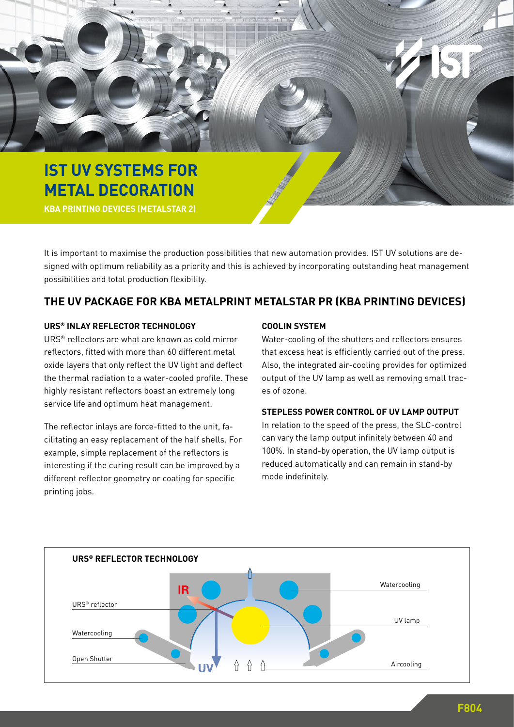

It is important to maximise the production possibilities that new automation provides. IST UV solutions are designed with optimum reliability as a priority and this is achieved by incorporating outstanding heat management possibilities and total production flexibility.

# **THE UV PACKAGE FOR KBA METALPRINT METALSTAR PR (KBA PRINTING DEVICES)**

## **URS® INLAY REFLECTOR TECHNOLOGY**

URS® reflectors are what are known as cold mirror reflectors, fitted with more than 60 different metal oxide layers that only reflect the UV light and deflect the thermal radiation to a water-cooled profile. These highly resistant reflectors boast an extremely long service life and optimum heat management.

The reflector inlays are force-fitted to the unit, facilitating an easy replacement of the half shells. For example, simple replacement of the reflectors is interesting if the curing result can be improved by a different reflector geometry or coating for specific printing jobs.

# **COOLIN SYSTEM**

Water-cooling of the shutters and reflectors ensures that excess heat is efficiently carried out of the press. Also, the integrated air-cooling provides for optimized output of the UV lamp as well as removing small traces of ozone.

## **STEPLESS POWER CONTROL OF UV LAMP OUTPUT**

In relation to the speed of the press, the SLC-control can vary the lamp output infinitely between 40 and 100%. In stand-by operation, the UV lamp output is reduced automatically and can remain in stand-by mode indefinitely.